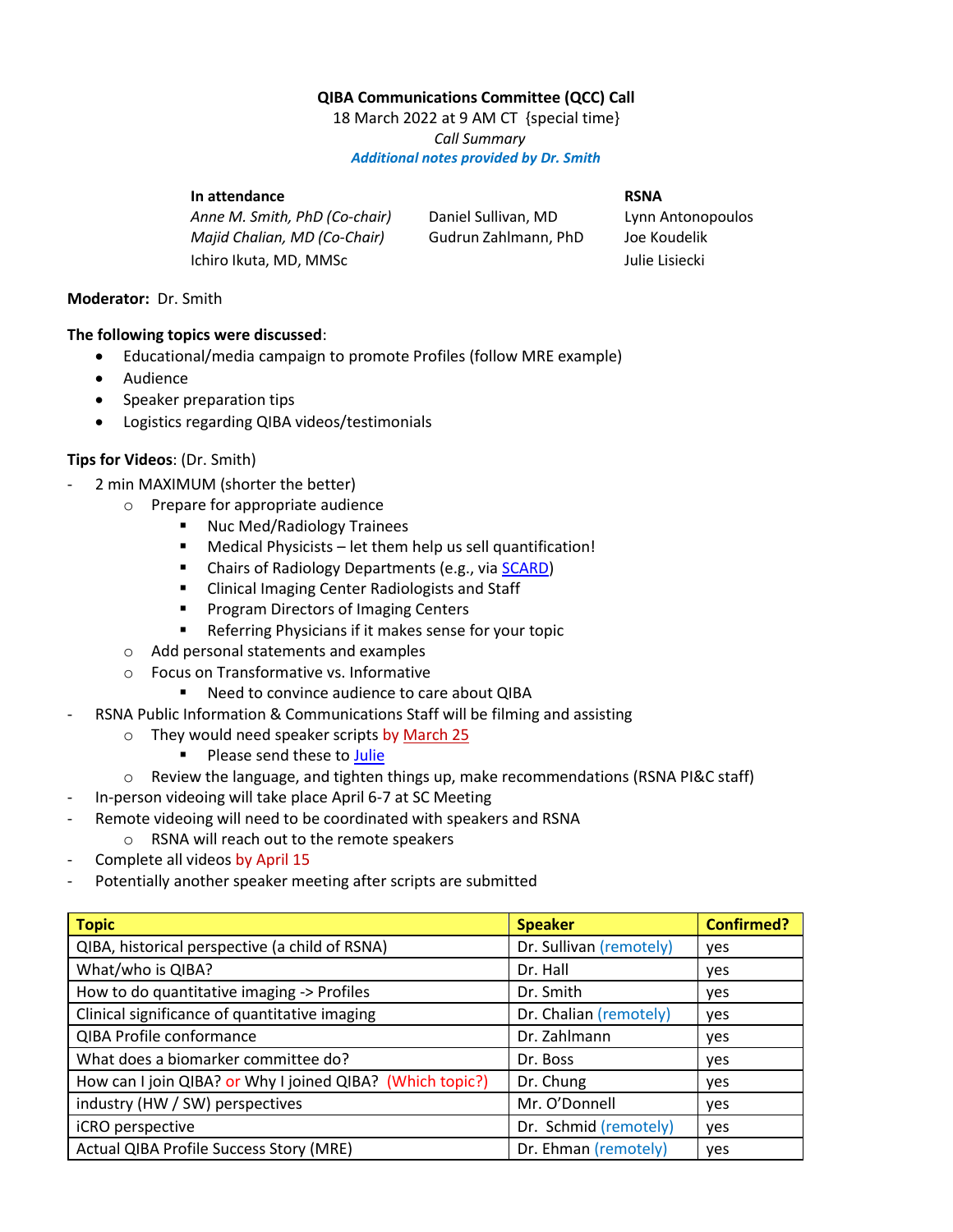# **QIBA Communications Committee (QCC) Call**

18 March 2022 at 9 AM CT {special time} *Call Summary Additional notes provided by Dr. Smith*

#### **In attendance RSNA RSNA**

*Anne M. Smith, PhD (Co-chair)* Daniel Sullivan, MD Lynn Antonopoulos *Majid Chalian, MD (Co-Chair)* Gudrun Zahlmann, PhD Joe Koudelik Ichiro Ikuta, MD, MMSc **Julie Lisiecki** 

#### **Moderator:** Dr. Smith

### **The following topics were discussed**:

- Educational/media campaign to promote Profiles (follow MRE example)
- Audience
- Speaker preparation tips
- Logistics regarding QIBA videos/testimonials

## **Tips for Videos**: (Dr. Smith)

- 2 min MAXIMUM (shorter the better)
	- o Prepare for appropriate audience
		- Nuc Med/Radiology Trainees
		- Medical Physicists let them help us sell quantification!
		- Chairs of Radiology Departments (e.g., vi[a SCARD\)](https://www.scardweb.org/)
		- Clinical Imaging Center Radiologists and Staff
		- Program Directors of Imaging Centers
		- Referring Physicians if it makes sense for your topic
	- o Add personal statements and examples
	- o Focus on Transformative vs. Informative
		- Need to convince audience to care about QIBA
	- RSNA Public Information & Communications Staff will be filming and assisting
		- o They would need speaker scripts by March 25
			- Please send these to [Julie](mailto:jlisiecki@rsna.org)
		- $\circ$  Review the language, and tighten things up, make recommendations (RSNA PI&C staff)
- In-person videoing will take place April 6-7 at SC Meeting
- Remote videoing will need to be coordinated with speakers and RSNA
	- o RSNA will reach out to the remote speakers
- Complete all videos by April 15
- Potentially another speaker meeting after scripts are submitted

| <b>Topic</b>                                              | <b>Speaker</b>          | <b>Confirmed?</b> |
|-----------------------------------------------------------|-------------------------|-------------------|
| QIBA, historical perspective (a child of RSNA)            | Dr. Sullivan (remotely) | <b>ves</b>        |
| What/who is QIBA?                                         | Dr. Hall                | <b>ves</b>        |
| How to do quantitative imaging -> Profiles                | Dr. Smith               | yes               |
| Clinical significance of quantitative imaging             | Dr. Chalian (remotely)  | yes               |
| QIBA Profile conformance                                  | Dr. Zahlmann            | ves               |
| What does a biomarker committee do?                       | Dr. Boss                | yes               |
| How can I join QIBA? or Why I joined QIBA? (Which topic?) | Dr. Chung               | yes               |
| industry (HW / SW) perspectives                           | Mr. O'Donnell           | ves               |
| iCRO perspective                                          | Dr. Schmid (remotely)   | yes               |
| Actual QIBA Profile Success Story (MRE)                   | Dr. Ehman (remotely)    | ves               |